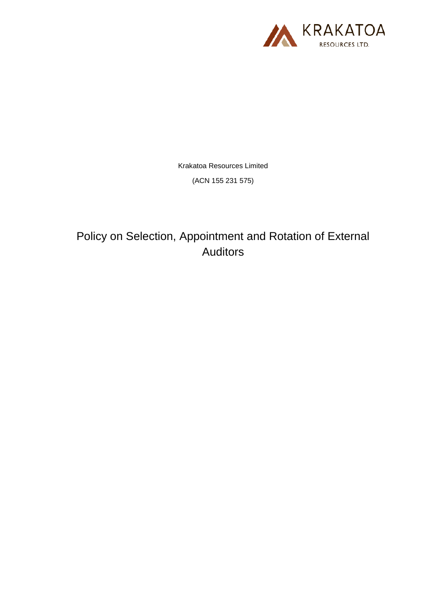

Krakatoa Resources Limited

(ACN 155 231 575)

Policy on Selection, Appointment and Rotation of External Auditors